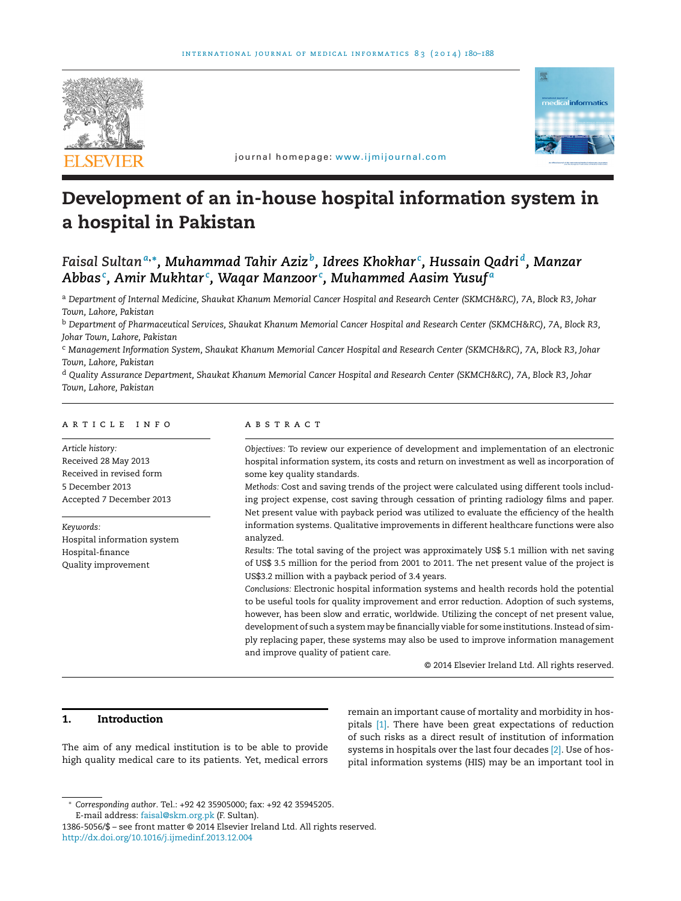



journal homepage: <www.ijmijournal.com>

# **Development of an in-house hospital information system in a hospital in Pakistan**

## *Faisal Sultan<sup>a</sup>***,∗***, Muhammad Tahir Aziz b, Idrees Khokhar <sup>c</sup> , Hussain Qadri d, Manzar Abbas<sup>c</sup> , Amir Mukhtar <sup>c</sup> , Waqar Manzoor <sup>c</sup> , Muhammed Aasim Yusuf <sup>a</sup>*

a Department of Internal Medicine, Shaukat Khanum Memorial Cancer Hospital and Research Center (SKMCH&RC), 7A, Block R3, Johar *Town, Lahore, Pakistan*

<sup>b</sup> Department of Pharmaceutical Services, Shaukat Khanum Memorial Cancer Hospital and Research Center (SKMCH&RC), 7A, Block R3, *Johar Town, Lahore, Pakistan*

c Management Information System, Shaukat Khanum Memorial Cancer Hospital and Research Center (SKMCH&RC), 7A, Block R3, Johar *Town, Lahore, Pakistan*

<sup>d</sup> Quality Assurance Department, Shaukat Khanum Memorial Cancer Hospital and Research Center (SKMCH&RC), 7A, Block R3, Johar *Town, Lahore, Pakistan*

#### ARTICLE INFO

*Article history:* Received 28 May 2013 Received in revised form 5 December 2013 Accepted 7 December 2013

*Keywords:* Hospital information system Hospital-finance Quality improvement

## a b s t r a c t

*Objectives:* To review our experience of development and implementation of an electronic hospital information system, its costs and return on investment as well as incorporation of some key quality standards.

*Methods:* Cost and saving trends of the project were calculated using different tools including project expense, cost saving through cessation of printing radiology films and paper. Net present value with payback period was utilized to evaluate the efficiency of the health information systems. Qualitative improvements in different healthcare functions were also analyzed.

*Results:* The total saving of the project was approximately US\$ 5.1 million with net saving of US\$ 3.5 million for the period from 2001 to 2011. The net present value of the project is US\$3.2 million with a payback period of 3.4 years.

*Conclusions:* Electronic hospital information systems and health records hold the potential to be useful tools for quality improvement and error reduction. Adoption of such systems, however, has been slow and erratic, worldwide. Utilizing the concept of net present value, development of such a system may be financially viable for some institutions. Instead of simply replacing paper, these systems may also be used to improve information management and improve quality of patient care.

© 2014 Elsevier Ireland Ltd. All rights reserved.

## **1. Introduction**

The aim of any medical institution is to be able to provide high quality medical care to its patients. Yet, medical errors remain an important cause of mortality and morbidity in hospitals [\[1\].](#page--1-0) There have been great expectations of reduction of such risks as a direct result of institution of information systems in hospitals over the last four decades [\[2\].](#page--1-0) Use of hospital information systems (HIS) may be an important tool in

<sup>∗</sup> *Corresponding author*. Tel.: +92 42 35905000; fax: +92 42 35945205. E-mail address: [faisal@skm.org.pk](mailto:faisal@skm.org.pk) (F. Sultan).

<sup>1386-5056/\$</sup> – see front matter © 2014 Elsevier Ireland Ltd. All rights reserved. [http://dx.doi.org/10.1016/j.ijmedinf.2013.12.004](dx.doi.org/10.1016/j.ijmedinf.2013.12.004)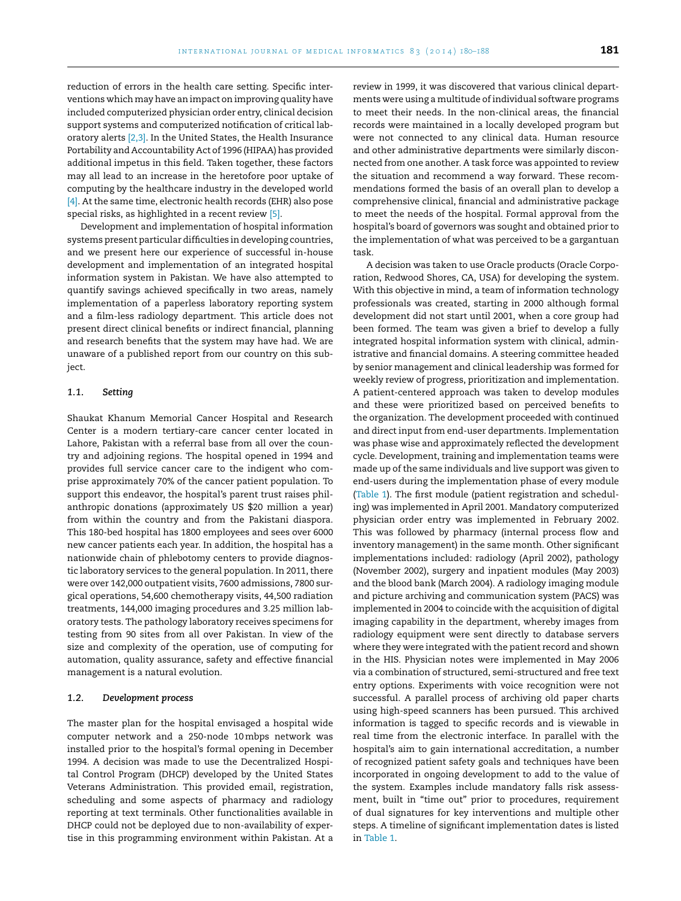reduction of errors in the health care setting. Specific interventions which may have an impact on improving quality have included computerized physician order entry, clinical decision support systems and computerized notification of critical laboratory alerts  $[2,3]$ . In the United States, the Health Insurance Portability and Accountability Act of 1996 (HIPAA) has provided additional impetus in this field. Taken together, these factors may all lead to an increase in the heretofore poor uptake of computing by the healthcare industry in the developed world [\[4\].](#page--1-0) At the same time, electronic health records (EHR) also pose special risks, as highlighted in a recent review [\[5\].](#page--1-0)

Development and implementation of hospital information systems present particular difficulties in developing countries, and we present here our experience of successful in-house development and implementation of an integrated hospital information system in Pakistan. We have also attempted to quantify savings achieved specifically in two areas, namely implementation of a paperless laboratory reporting system and a film-less radiology department. This article does not present direct clinical benefits or indirect financial, planning and research benefits that the system may have had. We are unaware of a published report from our country on this subject.

### *1.1. Setting*

Shaukat Khanum Memorial Cancer Hospital and Research Center is a modern tertiary-care cancer center located in Lahore, Pakistan with a referral base from all over the country and adjoining regions. The hospital opened in 1994 and provides full service cancer care to the indigent who comprise approximately 70% of the cancer patient population. To support this endeavor, the hospital's parent trust raises philanthropic donations (approximately US \$20 million a year) from within the country and from the Pakistani diaspora. This 180-bed hospital has 1800 employees and sees over 6000 new cancer patients each year. In addition, the hospital has a nationwide chain of phlebotomy centers to provide diagnostic laboratory services to the general population. In 2011, there were over 142,000 outpatient visits, 7600 admissions, 7800 surgical operations, 54,600 chemotherapy visits, 44,500 radiation treatments, 144,000 imaging procedures and 3.25 million laboratory tests. The pathology laboratory receives specimens for testing from 90 sites from all over Pakistan. In view of the size and complexity of the operation, use of computing for automation, quality assurance, safety and effective financial management is a natural evolution.

### *1.2. Development process*

The master plan for the hospital envisaged a hospital wide computer network and a 250-node 10mbps network was installed prior to the hospital's formal opening in December 1994. A decision was made to use the Decentralized Hospital Control Program (DHCP) developed by the United States Veterans Administration. This provided email, registration, scheduling and some aspects of pharmacy and radiology reporting at text terminals. Other functionalities available in DHCP could not be deployed due to non-availability of expertise in this programming environment within Pakistan. At a review in 1999, it was discovered that various clinical departments were using a multitude of individual software programs to meet their needs. In the non-clinical areas, the financial records were maintained in a locally developed program but were not connected to any clinical data. Human resource and other administrative departments were similarly disconnected from one another. A task force was appointed to review the situation and recommend a way forward. These recommendations formed the basis of an overall plan to develop a comprehensive clinical, financial and administrative package to meet the needs of the hospital. Formal approval from the hospital's board of governors was sought and obtained prior to the implementation of what was perceived to be a gargantuan task.

A decision was taken to use Oracle products (Oracle Corporation, Redwood Shores, CA, USA) for developing the system. With this objective in mind, a team of information technology professionals was created, starting in 2000 although formal development did not start until 2001, when a core group had been formed. The team was given a brief to develop a fully integrated hospital information system with clinical, administrative and financial domains. A steering committee headed by senior management and clinical leadership was formed for weekly review of progress, prioritization and implementation. A patient-centered approach was taken to develop modules and these were prioritized based on perceived benefits to the organization. The development proceeded with continued and direct input from end-user departments. Implementation was phase wise and approximately reflected the development cycle. Development, training and implementation teams were made up of the same individuals and live support was given to end-users during the implementation phase of every module ([Table](#page--1-0) 1). The first module (patient registration and scheduling) was implemented in April 2001. Mandatory computerized physician order entry was implemented in February 2002. This was followed by pharmacy (internal process flow and inventory management) in the same month. Other significant implementations included: radiology (April 2002), pathology (November 2002), surgery and inpatient modules (May 2003) and the blood bank (March 2004). A radiology imaging module and picture archiving and communication system (PACS) was implemented in 2004 to coincide with the acquisition of digital imaging capability in the department, whereby images from radiology equipment were sent directly to database servers where they were integrated with the patient record and shown in the HIS. Physician notes were implemented in May 2006 via a combination of structured, semi-structured and free text entry options. Experiments with voice recognition were not successful. A parallel process of archiving old paper charts using high-speed scanners has been pursued. This archived information is tagged to specific records and is viewable in real time from the electronic interface. In parallel with the hospital's aim to gain international accreditation, a number of recognized patient safety goals and techniques have been incorporated in ongoing development to add to the value of the system. Examples include mandatory falls risk assessment, built in "time out" prior to procedures, requirement of dual signatures for key interventions and multiple other steps. A timeline of significant implementation dates is listed in [Table](#page--1-0) 1.